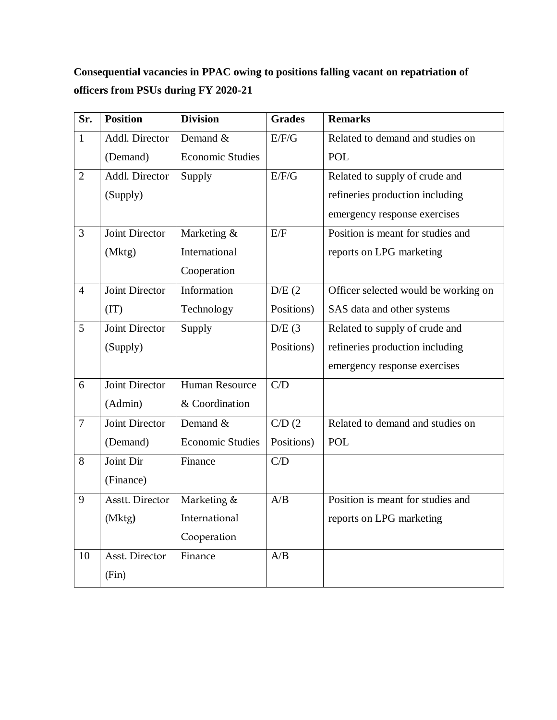**Consequential vacancies in PPAC owing to positions falling vacant on repatriation of officers from PSUs during FY 2020-21**

| Sr.            | <b>Position</b>       | <b>Division</b>         | <b>Grades</b>        | <b>Remarks</b>                       |
|----------------|-----------------------|-------------------------|----------------------|--------------------------------------|
| $\mathbf{1}$   | Addl. Director        | Demand &                | E/F/G                | Related to demand and studies on     |
|                | (Demand)              | <b>Economic Studies</b> |                      | <b>POL</b>                           |
| $\overline{2}$ | Addl. Director        | Supply                  | E/F/G                | Related to supply of crude and       |
|                | (Supply)              |                         |                      | refineries production including      |
|                |                       |                         |                      | emergency response exercises         |
| $\overline{3}$ | Joint Director        | Marketing &             | E/F                  | Position is meant for studies and    |
|                | (Mktg)                | International           |                      | reports on LPG marketing             |
|                |                       | Cooperation             |                      |                                      |
| $\overline{4}$ | Joint Director        | Information             | D/E(2)               | Officer selected would be working on |
|                | (TT)                  | Technology              | Positions)           | SAS data and other systems           |
| 5              | <b>Joint Director</b> | Supply                  | D/E(3)               | Related to supply of crude and       |
|                | (Supply)              |                         | Positions)           | refineries production including      |
|                |                       |                         |                      | emergency response exercises         |
| 6              | Joint Director        | <b>Human Resource</b>   | C/D                  |                                      |
|                | (Admin)               | & Coordination          |                      |                                      |
| $\overline{7}$ | <b>Joint Director</b> | Demand $&$              | $\overline{C/D}$ (2) | Related to demand and studies on     |
|                | (Demand)              | <b>Economic Studies</b> | Positions)           | <b>POL</b>                           |
| 8              | Joint Dir             | Finance                 | C/D                  |                                      |
|                | (Finance)             |                         |                      |                                      |
| 9              | Asstt. Director       | Marketing &             | A/B                  | Position is meant for studies and    |
|                | (Mktg)                | International           |                      | reports on LPG marketing             |
|                |                       | Cooperation             |                      |                                      |
| 10             | Asst. Director        | Finance                 | A/B                  |                                      |
|                | (Fin)                 |                         |                      |                                      |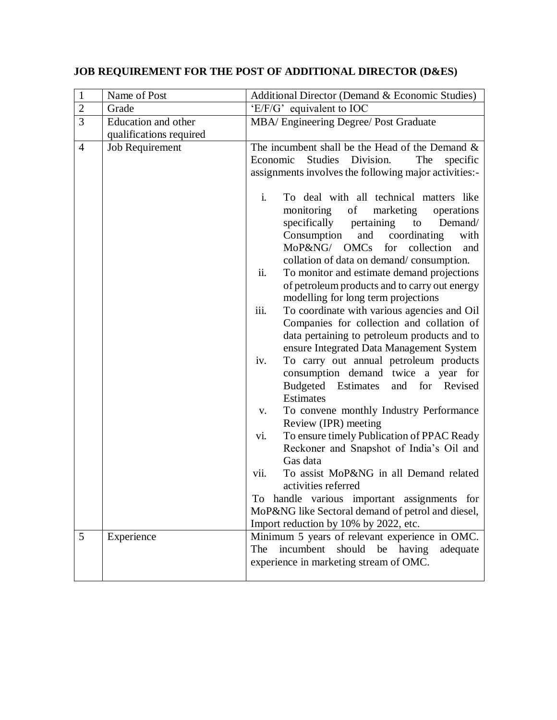# **JOB REQUIREMENT FOR THE POST OF ADDITIONAL DIRECTOR (D&ES)**

| $\mathbf{1}$   | Name of Post                               | Additional Director (Demand & Economic Studies)                                                                                                                                                                                                                                                                                                                                                                                                                                                                                                                                                                                                                                                                                                                                                                                                                                                                                                                                                                                                                                            |
|----------------|--------------------------------------------|--------------------------------------------------------------------------------------------------------------------------------------------------------------------------------------------------------------------------------------------------------------------------------------------------------------------------------------------------------------------------------------------------------------------------------------------------------------------------------------------------------------------------------------------------------------------------------------------------------------------------------------------------------------------------------------------------------------------------------------------------------------------------------------------------------------------------------------------------------------------------------------------------------------------------------------------------------------------------------------------------------------------------------------------------------------------------------------------|
| $\overline{2}$ | Grade                                      | 'E/F/G' equivalent to IOC                                                                                                                                                                                                                                                                                                                                                                                                                                                                                                                                                                                                                                                                                                                                                                                                                                                                                                                                                                                                                                                                  |
| $\overline{3}$ | Education and other                        | MBA/ Engineering Degree/ Post Graduate                                                                                                                                                                                                                                                                                                                                                                                                                                                                                                                                                                                                                                                                                                                                                                                                                                                                                                                                                                                                                                                     |
| $\overline{4}$ | qualifications required<br>Job Requirement | The incumbent shall be the Head of the Demand $\&$<br>Economic<br>Studies<br>Division.<br>The<br>specific<br>assignments involves the following major activities:-<br>$\mathbf{i}$ .<br>To deal with all technical matters like<br>monitoring<br>of<br>marketing<br>operations<br>specifically pertaining<br>to<br>Demand/<br>Consumption<br>and coordinating<br>with<br>MoP&NG/ OMCs<br>for collection<br>and<br>collation of data on demand/consumption.<br>ii.<br>To monitor and estimate demand projections<br>of petroleum products and to carry out energy<br>modelling for long term projections<br>iii.<br>To coordinate with various agencies and Oil<br>Companies for collection and collation of<br>data pertaining to petroleum products and to<br>ensure Integrated Data Management System<br>To carry out annual petroleum products<br>iv.<br>consumption demand twice a year for<br>Budgeted Estimates<br>and for Revised<br><b>Estimates</b><br>To convene monthly Industry Performance<br>V.<br>Review (IPR) meeting<br>To ensure timely Publication of PPAC Ready<br>vi. |
|                |                                            | Reckoner and Snapshot of India's Oil and<br>Gas data                                                                                                                                                                                                                                                                                                                                                                                                                                                                                                                                                                                                                                                                                                                                                                                                                                                                                                                                                                                                                                       |
|                |                                            | To assist MoP&NG in all Demand related<br>vii.<br>activities referred                                                                                                                                                                                                                                                                                                                                                                                                                                                                                                                                                                                                                                                                                                                                                                                                                                                                                                                                                                                                                      |
|                |                                            | To handle various important assignments for<br>MoP&NG like Sectoral demand of petrol and diesel,<br>Import reduction by 10% by 2022, etc.                                                                                                                                                                                                                                                                                                                                                                                                                                                                                                                                                                                                                                                                                                                                                                                                                                                                                                                                                  |
| 5              | Experience                                 | Minimum 5 years of relevant experience in OMC.<br>incumbent<br>should<br>be having<br>The<br>adequate<br>experience in marketing stream of OMC.                                                                                                                                                                                                                                                                                                                                                                                                                                                                                                                                                                                                                                                                                                                                                                                                                                                                                                                                            |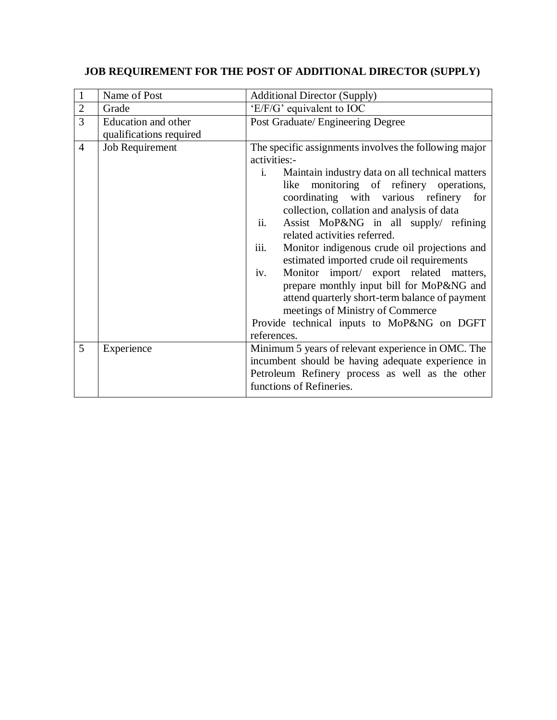# **JOB REQUIREMENT FOR THE POST OF ADDITIONAL DIRECTOR (SUPPLY)**

| $\mathbf{1}$   | Name of Post            | <b>Additional Director (Supply)</b>                                                                                                                                                                                                                                                                                                                                                                                                                                                                                         |
|----------------|-------------------------|-----------------------------------------------------------------------------------------------------------------------------------------------------------------------------------------------------------------------------------------------------------------------------------------------------------------------------------------------------------------------------------------------------------------------------------------------------------------------------------------------------------------------------|
| $\overline{2}$ | Grade                   | 'E/F/G' equivalent to IOC                                                                                                                                                                                                                                                                                                                                                                                                                                                                                                   |
| $\overline{3}$ | Education and other     | Post Graduate/ Engineering Degree                                                                                                                                                                                                                                                                                                                                                                                                                                                                                           |
|                | qualifications required |                                                                                                                                                                                                                                                                                                                                                                                                                                                                                                                             |
| $\overline{4}$ | Job Requirement         | The specific assignments involves the following major<br>activities:-<br>Maintain industry data on all technical matters<br>i.<br>monitoring of refinery operations,<br>like                                                                                                                                                                                                                                                                                                                                                |
|                |                         | coordinating with various refinery for<br>collection, collation and analysis of data<br>ii.<br>Assist MoP&NG in all supply/ refining<br>related activities referred.<br>iii.<br>Monitor indigenous crude oil projections and<br>estimated imported crude oil requirements<br>Monitor import/ export related matters,<br>iv.<br>prepare monthly input bill for MoP&NG and<br>attend quarterly short-term balance of payment<br>meetings of Ministry of Commerce<br>Provide technical inputs to MoP&NG on DGFT<br>references. |
| 5              | Experience              | Minimum 5 years of relevant experience in OMC. The<br>incumbent should be having adequate experience in<br>Petroleum Refinery process as well as the other<br>functions of Refineries.                                                                                                                                                                                                                                                                                                                                      |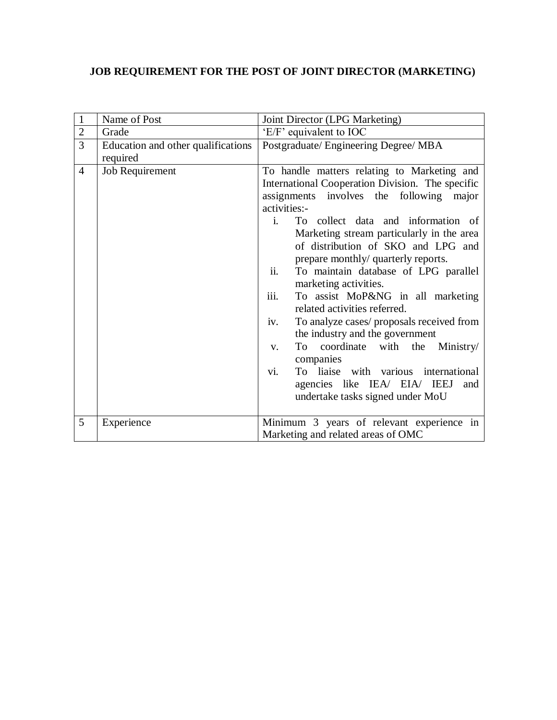# **JOB REQUIREMENT FOR THE POST OF JOINT DIRECTOR (MARKETING)**

| $\mathbf{1}$   | Name of Post                                   | Joint Director (LPG Marketing)                                                                                                                                                                                                                                                                                                                                                                                                                                                                                                                                                                                                                                                                                                                                                       |
|----------------|------------------------------------------------|--------------------------------------------------------------------------------------------------------------------------------------------------------------------------------------------------------------------------------------------------------------------------------------------------------------------------------------------------------------------------------------------------------------------------------------------------------------------------------------------------------------------------------------------------------------------------------------------------------------------------------------------------------------------------------------------------------------------------------------------------------------------------------------|
| $\overline{2}$ | Grade                                          | 'E/F' equivalent to IOC                                                                                                                                                                                                                                                                                                                                                                                                                                                                                                                                                                                                                                                                                                                                                              |
| 3              | Education and other qualifications<br>required | Postgraduate/ Engineering Degree/ MBA                                                                                                                                                                                                                                                                                                                                                                                                                                                                                                                                                                                                                                                                                                                                                |
| $\overline{4}$ | Job Requirement                                | To handle matters relating to Marketing and<br>International Cooperation Division. The specific<br>assignments involves the following major<br>activities:-<br>$\mathbf{i}$<br>To collect data and information of<br>Marketing stream particularly in the area<br>of distribution of SKO and LPG and<br>prepare monthly/ quarterly reports.<br>ii.<br>To maintain database of LPG parallel<br>marketing activities.<br>iii.<br>To assist MoP&NG in all marketing<br>related activities referred.<br>To analyze cases/ proposals received from<br>iv.<br>the industry and the government<br>coordinate with the Ministry/<br>To<br>$V_{\rm r}$<br>companies<br>To liaise with various international<br>Vİ.<br>agencies like IEA/ EIA/ IEEJ<br>and<br>undertake tasks signed under MoU |
| 5              | Experience                                     | Minimum 3 years of relevant experience in<br>Marketing and related areas of OMC                                                                                                                                                                                                                                                                                                                                                                                                                                                                                                                                                                                                                                                                                                      |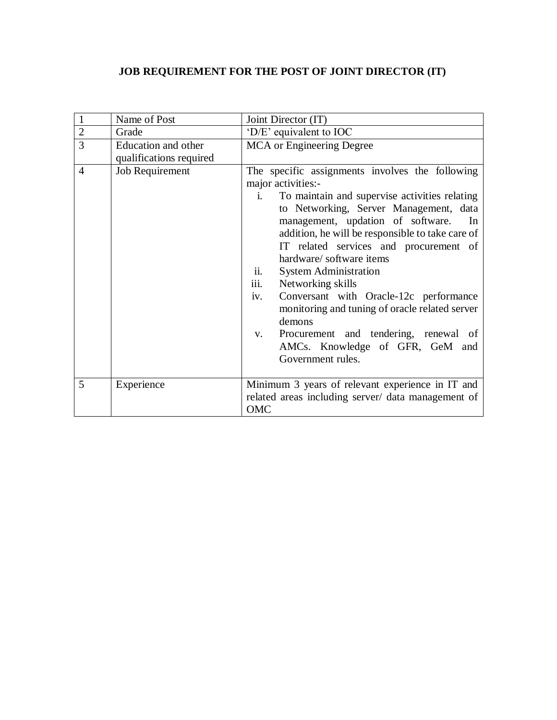## **JOB REQUIREMENT FOR THE POST OF JOINT DIRECTOR (IT)**

| $\mathbf{1}$   | Name of Post                                   | Joint Director (IT)                                                                                                                                                                                                                                                                                                                                                                                                                                                                                                                                                                                                                            |
|----------------|------------------------------------------------|------------------------------------------------------------------------------------------------------------------------------------------------------------------------------------------------------------------------------------------------------------------------------------------------------------------------------------------------------------------------------------------------------------------------------------------------------------------------------------------------------------------------------------------------------------------------------------------------------------------------------------------------|
| $\sqrt{2}$     | Grade                                          | 'D/E' equivalent to IOC                                                                                                                                                                                                                                                                                                                                                                                                                                                                                                                                                                                                                        |
| $\overline{3}$ | Education and other<br>qualifications required | <b>MCA</b> or Engineering Degree                                                                                                                                                                                                                                                                                                                                                                                                                                                                                                                                                                                                               |
| $\overline{4}$ | Job Requirement                                | The specific assignments involves the following<br>major activities:-<br>To maintain and supervise activities relating<br>$\mathbf{i}$ .<br>to Networking, Server Management, data<br>management, updation of software.<br>In<br>addition, he will be responsible to take care of<br>IT related services and procurement of<br>hardware/software items<br>ii.<br><b>System Administration</b><br>iii.<br>Networking skills<br>Conversant with Oracle-12c performance<br>iv.<br>monitoring and tuning of oracle related server<br>demons<br>Procurement and tendering, renewal of<br>V.<br>AMCs. Knowledge of GFR, GeM and<br>Government rules. |
| 5              | Experience                                     | Minimum 3 years of relevant experience in IT and<br>related areas including server/ data management of<br>OMC                                                                                                                                                                                                                                                                                                                                                                                                                                                                                                                                  |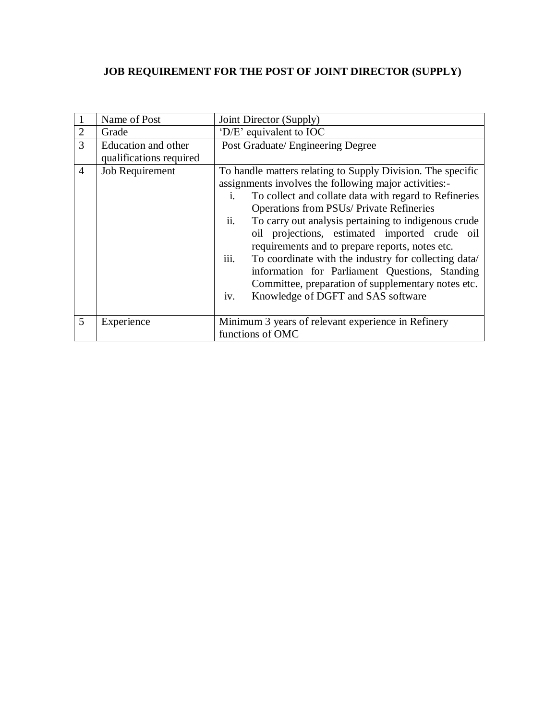## **JOB REQUIREMENT FOR THE POST OF JOINT DIRECTOR (SUPPLY)**

|                | Name of Post                                   | Joint Director (Supply)                                                                                                                                                                                                                                                                                                                                                                                                                                                                                                                                                                                                                    |  |
|----------------|------------------------------------------------|--------------------------------------------------------------------------------------------------------------------------------------------------------------------------------------------------------------------------------------------------------------------------------------------------------------------------------------------------------------------------------------------------------------------------------------------------------------------------------------------------------------------------------------------------------------------------------------------------------------------------------------------|--|
| $\overline{2}$ | Grade                                          | 'D/E' equivalent to IOC                                                                                                                                                                                                                                                                                                                                                                                                                                                                                                                                                                                                                    |  |
| 3              | Education and other<br>qualifications required | Post Graduate/ Engineering Degree                                                                                                                                                                                                                                                                                                                                                                                                                                                                                                                                                                                                          |  |
| $\overline{4}$ | Job Requirement                                | To handle matters relating to Supply Division. The specific<br>assignments involves the following major activities:-<br>To collect and collate data with regard to Refineries<br>İ.<br><b>Operations from PSUs/ Private Refineries</b><br>ii.<br>To carry out analysis pertaining to indigenous crude<br>oil projections, estimated imported crude oil<br>requirements and to prepare reports, notes etc.<br>iii.<br>To coordinate with the industry for collecting data/<br>information for Parliament Questions, Standing<br>Committee, preparation of supplementary notes etc.<br>Knowledge of DGFT and SAS software<br>1V <sub>1</sub> |  |
| 5              | Experience                                     | Minimum 3 years of relevant experience in Refinery<br>functions of OMC                                                                                                                                                                                                                                                                                                                                                                                                                                                                                                                                                                     |  |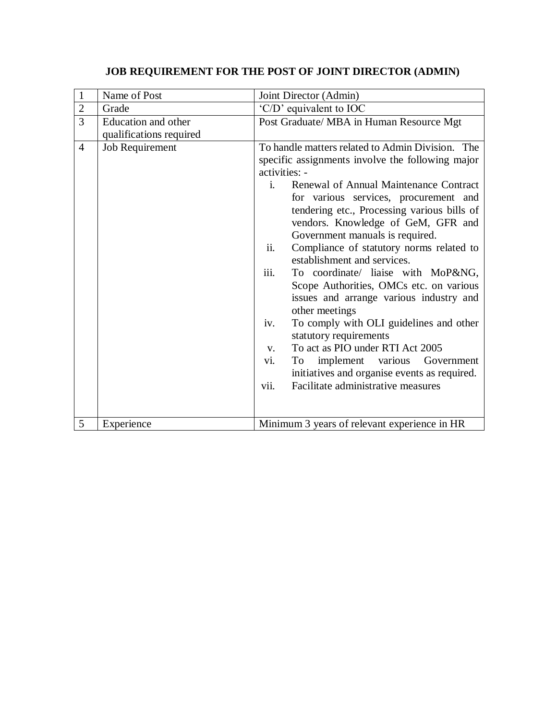## **JOB REQUIREMENT FOR THE POST OF JOINT DIRECTOR (ADMIN)**

| $\mathbf{1}$   | Name of Post                                   | Joint Director (Admin)                                                                                                                                                                                                                                                                                                                                                                                                                                                                                                                                                                                                                                                                                                                                                                                                                                      |
|----------------|------------------------------------------------|-------------------------------------------------------------------------------------------------------------------------------------------------------------------------------------------------------------------------------------------------------------------------------------------------------------------------------------------------------------------------------------------------------------------------------------------------------------------------------------------------------------------------------------------------------------------------------------------------------------------------------------------------------------------------------------------------------------------------------------------------------------------------------------------------------------------------------------------------------------|
| $\overline{2}$ | Grade                                          | 'C/D' equivalent to IOC                                                                                                                                                                                                                                                                                                                                                                                                                                                                                                                                                                                                                                                                                                                                                                                                                                     |
| $\overline{3}$ | Education and other<br>qualifications required | Post Graduate/ MBA in Human Resource Mgt                                                                                                                                                                                                                                                                                                                                                                                                                                                                                                                                                                                                                                                                                                                                                                                                                    |
| $\overline{4}$ | Job Requirement                                | To handle matters related to Admin Division. The<br>specific assignments involve the following major<br>activities: -<br>Renewal of Annual Maintenance Contract<br>$\mathbf{i}$ .<br>for various services, procurement and<br>tendering etc., Processing various bills of<br>vendors. Knowledge of GeM, GFR and<br>Government manuals is required.<br>Compliance of statutory norms related to<br>ii.<br>establishment and services.<br>iii.<br>To coordinate/ liaise with MoP&NG,<br>Scope Authorities, OMCs etc. on various<br>issues and arrange various industry and<br>other meetings<br>To comply with OLI guidelines and other<br>iv.<br>statutory requirements<br>To act as PIO under RTI Act 2005<br>V.<br>implement various Government<br>vi.<br>To<br>initiatives and organise events as required.<br>Facilitate administrative measures<br>vii. |
| 5              | Experience                                     | Minimum 3 years of relevant experience in HR                                                                                                                                                                                                                                                                                                                                                                                                                                                                                                                                                                                                                                                                                                                                                                                                                |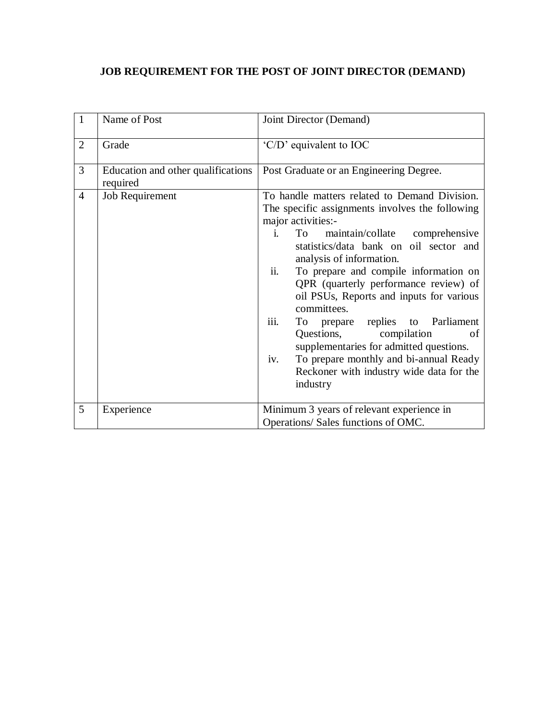## **JOB REQUIREMENT FOR THE POST OF JOINT DIRECTOR (DEMAND)**

| $\mathbf{1}$   | Name of Post                                   | Joint Director (Demand)                                                                                                                                                                                                                                                                                                                                                                                                                                                                                                                                                                                                           |
|----------------|------------------------------------------------|-----------------------------------------------------------------------------------------------------------------------------------------------------------------------------------------------------------------------------------------------------------------------------------------------------------------------------------------------------------------------------------------------------------------------------------------------------------------------------------------------------------------------------------------------------------------------------------------------------------------------------------|
| $\overline{2}$ | Grade                                          | 'C/D' equivalent to IOC                                                                                                                                                                                                                                                                                                                                                                                                                                                                                                                                                                                                           |
| 3              | Education and other qualifications<br>required | Post Graduate or an Engineering Degree.                                                                                                                                                                                                                                                                                                                                                                                                                                                                                                                                                                                           |
| $\overline{4}$ | Job Requirement                                | To handle matters related to Demand Division.<br>The specific assignments involves the following<br>major activities:-<br>maintain/collate comprehensive<br>To<br>i.<br>statistics/data bank on oil sector and<br>analysis of information.<br>ii.<br>To prepare and compile information on<br>QPR (quarterly performance review) of<br>oil PSUs, Reports and inputs for various<br>committees.<br>iii.<br>To prepare replies to Parliament<br>Questions,<br>compilation<br>οf<br>supplementaries for admitted questions.<br>To prepare monthly and bi-annual Ready<br>iv.<br>Reckoner with industry wide data for the<br>industry |
| 5              | Experience                                     | Minimum 3 years of relevant experience in<br>Operations/ Sales functions of OMC.                                                                                                                                                                                                                                                                                                                                                                                                                                                                                                                                                  |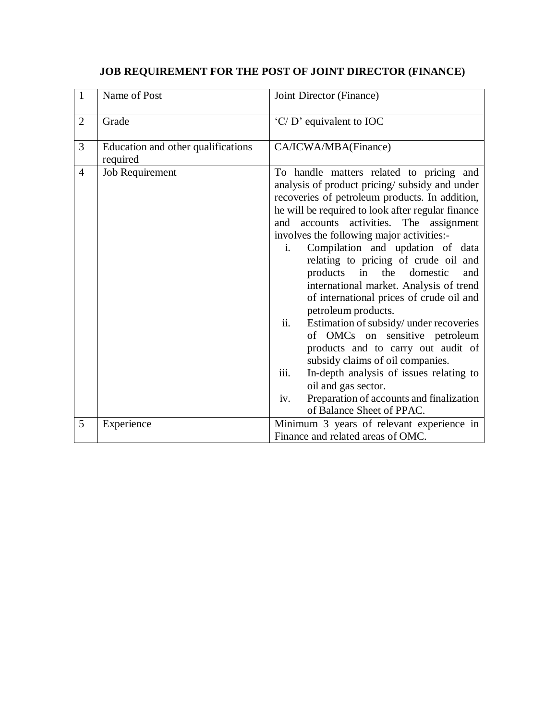## **JOB REQUIREMENT FOR THE POST OF JOINT DIRECTOR (FINANCE)**

| $\mathbf{1}$   | Name of Post                                   | Joint Director (Finance)                                                                                                                                                                                                                                                                                                                                                                                                                                                                                                                                                                                                                                                                                                                                                                                                                                             |
|----------------|------------------------------------------------|----------------------------------------------------------------------------------------------------------------------------------------------------------------------------------------------------------------------------------------------------------------------------------------------------------------------------------------------------------------------------------------------------------------------------------------------------------------------------------------------------------------------------------------------------------------------------------------------------------------------------------------------------------------------------------------------------------------------------------------------------------------------------------------------------------------------------------------------------------------------|
| $\overline{2}$ | Grade                                          | 'C/D' equivalent to IOC                                                                                                                                                                                                                                                                                                                                                                                                                                                                                                                                                                                                                                                                                                                                                                                                                                              |
| 3              | Education and other qualifications<br>required | CA/ICWA/MBA(Finance)                                                                                                                                                                                                                                                                                                                                                                                                                                                                                                                                                                                                                                                                                                                                                                                                                                                 |
| $\overline{4}$ | Job Requirement                                | To handle matters related to pricing and<br>analysis of product pricing/subsidy and under<br>recoveries of petroleum products. In addition,<br>he will be required to look after regular finance<br>accounts activities. The assignment<br>and<br>involves the following major activities:-<br>Compilation and updation of data<br>$i_{-}$<br>relating to pricing of crude oil and<br>in<br>the<br>products<br>domestic<br>and<br>international market. Analysis of trend<br>of international prices of crude oil and<br>petroleum products.<br>ii.<br>Estimation of subsidy/ under recoveries<br>of OMCs on sensitive petroleum<br>products and to carry out audit of<br>subsidy claims of oil companies.<br>iii.<br>In-depth analysis of issues relating to<br>oil and gas sector.<br>Preparation of accounts and finalization<br>iv.<br>of Balance Sheet of PPAC. |
| 5              | Experience                                     | Minimum 3 years of relevant experience in<br>Finance and related areas of OMC.                                                                                                                                                                                                                                                                                                                                                                                                                                                                                                                                                                                                                                                                                                                                                                                       |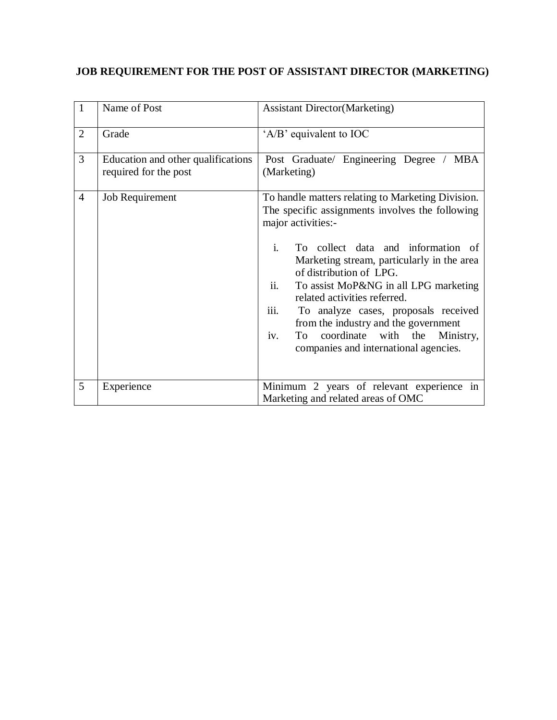# **JOB REQUIREMENT FOR THE POST OF ASSISTANT DIRECTOR (MARKETING)**

| $\mathbf{1}$   | Name of Post                                                | <b>Assistant Director (Marketing)</b>                                                                                                                                                                                                                                                                                                                                                                                                                                                                             |
|----------------|-------------------------------------------------------------|-------------------------------------------------------------------------------------------------------------------------------------------------------------------------------------------------------------------------------------------------------------------------------------------------------------------------------------------------------------------------------------------------------------------------------------------------------------------------------------------------------------------|
| $\overline{2}$ | Grade                                                       | 'A/B' equivalent to IOC                                                                                                                                                                                                                                                                                                                                                                                                                                                                                           |
| 3              | Education and other qualifications<br>required for the post | Post Graduate/ Engineering Degree / MBA<br>(Marketing)                                                                                                                                                                                                                                                                                                                                                                                                                                                            |
| $\overline{4}$ | Job Requirement                                             | To handle matters relating to Marketing Division.<br>The specific assignments involves the following<br>major activities:-<br>$i$ .<br>To collect data and information of<br>Marketing stream, particularly in the area<br>of distribution of LPG.<br>ii.<br>To assist MoP&NG in all LPG marketing<br>related activities referred.<br>iii.<br>To analyze cases, proposals received<br>from the industry and the government<br>To coordinate with the<br>iv.<br>Ministry,<br>companies and international agencies. |
| 5              | Experience                                                  | Minimum 2 years of relevant experience in<br>Marketing and related areas of OMC                                                                                                                                                                                                                                                                                                                                                                                                                                   |